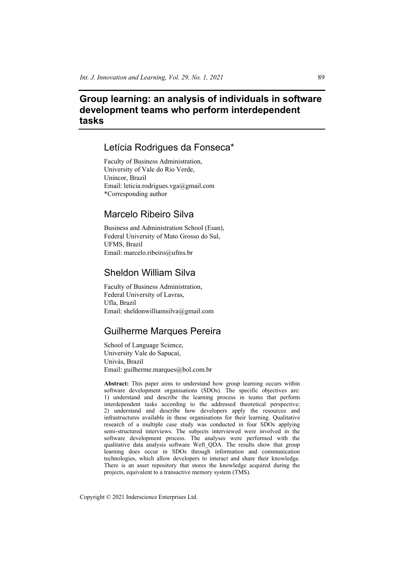# **Group learning: an analysis of individuals in software development teams who perform interdependent tasks**

## Letícia Rodrigues da Fonseca\*

Faculty of Business Administration, University of Vale do Rio Verde, Unincor, Brazil Email: leticia.rodrigues.vga@gmail.com \*Corresponding author

## Marcelo Ribeiro Silva

Business and Administration School (Esan), Federal University of Mato Grosso do Sul, UFMS, Brazil Email: marcelo.ribeiro@ufms.br

## Sheldon William Silva

Faculty of Business Administration, Federal University of Lavras, Ufla, Brazil Email: sheldonwilliamsilva@gmail.com

## Guilherme Marques Pereira

School of Language Science, University Vale do Sapucaí, Univás, Brazil Email: guilherme.marques@bol.com.br

**Abstract:** This paper aims to understand how group learning occurs within software development organisations (SDOs). The specific objectives are: 1) understand and describe the learning process in teams that perform interdependent tasks according to the addressed theoretical perspective; 2) understand and describe how developers apply the resources and infrastructures available in these organisations for their learning. Qualitative research of a multiple case study was conducted in four SDOs applying semi-structured interviews. The subjects interviewed were involved in the software development process. The analyses were performed with the qualitative data analysis software Weft\_QDA. The results show that group learning does occur in SDOs through information and communication technologies, which allow developers to interact and share their knowledge. There is an asset repository that stores the knowledge acquired during the projects, equivalent to a transactive memory system (TMS).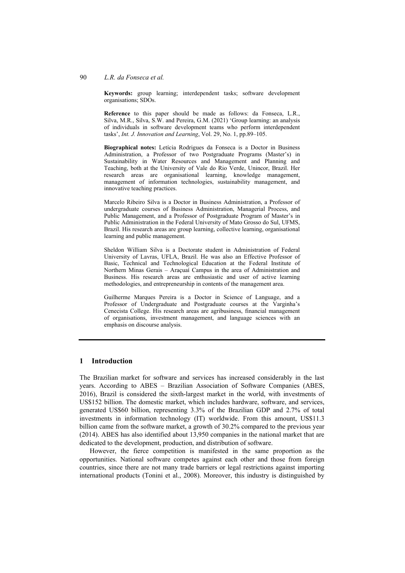#### 90 *L.R. da Fonseca et al.*

**Keywords:** group learning; interdependent tasks; software development organisations; SDOs.

**Reference** to this paper should be made as follows: da Fonseca, L.R., Silva, M.R., Silva, S.W. and Pereira, G.M. (2021) 'Group learning: an analysis of individuals in software development teams who perform interdependent tasks', *Int. J. Innovation and Learning*, Vol. 29, No. 1, pp.89–105.

**Biographical notes:** Letícia Rodrigues da Fonseca is a Doctor in Business Administration, a Professor of two Postgraduate Programs (Master's) in Sustainability in Water Resources and Management and Planning and Teaching, both at the University of Vale do Rio Verde, Unincor, Brazil. Her research areas are organisational learning, knowledge management, management of information technologies, sustainability management, and innovative teaching practices.

Marcelo Ribeiro Silva is a Doctor in Business Administration, a Professor of undergraduate courses of Business Administration, Managerial Process, and Public Management, and a Professor of Postgraduate Program of Master's in Public Administration in the Federal University of Mato Grosso do Sul, UFMS, Brazil. His research areas are group learning, collective learning, organisational learning and public management.

Sheldon William Silva is a Doctorate student in Administration of Federal University of Lavras, UFLA, Brazil. He was also an Effective Professor of Basic, Technical and Technological Education at the Federal Institute of Northern Minas Gerais – Araçuaí Campus in the area of Administration and Business. His research areas are enthusiastic and user of active learning methodologies, and entrepreneurship in contents of the management area.

Guilherme Marques Pereira is a Doctor in Science of Language, and a Professor of Undergraduate and Postgraduate courses at the Varginha's Cenecista College. His research areas are agribusiness, financial management of organisations, investment management, and language sciences with an emphasis on discourse analysis.

## **1 Introduction**

The Brazilian market for software and services has increased considerably in the last years. According to ABES – Brazilian Association of Software Companies (ABES, 2016), Brazil is considered the sixth-largest market in the world, with investments of US\$152 billion. The domestic market, which includes hardware, software, and services, generated US\$60 billion, representing 3.3% of the Brazilian GDP and 2.7% of total investments in information technology (IT) worldwide. From this amount, US\$11.3 billion came from the software market, a growth of 30.2% compared to the previous year (2014). ABES has also identified about 13,950 companies in the national market that are dedicated to the development, production, and distribution of software.

However, the fierce competition is manifested in the same proportion as the opportunities. National software competes against each other and those from foreign countries, since there are not many trade barriers or legal restrictions against importing international products (Tonini et al., 2008). Moreover, this industry is distinguished by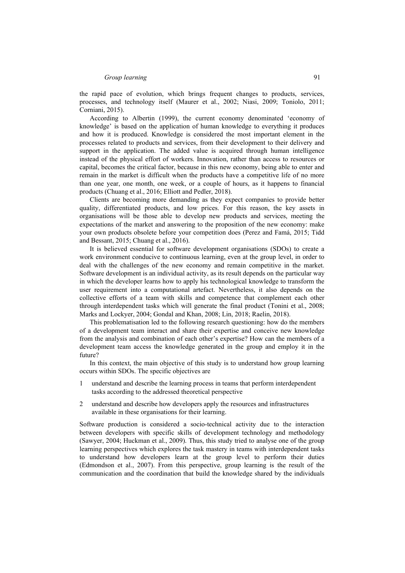the rapid pace of evolution, which brings frequent changes to products, services, processes, and technology itself (Maurer et al., 2002; Niasi, 2009; Toniolo, 2011; Corniani, 2015).

According to Albertin (1999), the current economy denominated 'economy of knowledge' is based on the application of human knowledge to everything it produces and how it is produced. Knowledge is considered the most important element in the processes related to products and services, from their development to their delivery and support in the application. The added value is acquired through human intelligence instead of the physical effort of workers. Innovation, rather than access to resources or capital, becomes the critical factor, because in this new economy, being able to enter and remain in the market is difficult when the products have a competitive life of no more than one year, one month, one week, or a couple of hours, as it happens to financial products (Chuang et al., 2016; Elliott and Pedler, 2018).

Clients are becoming more demanding as they expect companies to provide better quality, differentiated products, and low prices. For this reason, the key assets in organisations will be those able to develop new products and services, meeting the expectations of the market and answering to the proposition of the new economy: make your own products obsolete before your competition does (Perez and Famá, 2015; Tidd and Bessant, 2015; Chuang et al., 2016).

It is believed essential for software development organisations (SDOs) to create a work environment conducive to continuous learning, even at the group level, in order to deal with the challenges of the new economy and remain competitive in the market. Software development is an individual activity, as its result depends on the particular way in which the developer learns how to apply his technological knowledge to transform the user requirement into a computational artefact. Nevertheless, it also depends on the collective efforts of a team with skills and competence that complement each other through interdependent tasks which will generate the final product (Tonini et al., 2008; Marks and Lockyer, 2004; Gondal and Khan, 2008; Lin, 2018; Raelin, 2018).

This problematisation led to the following research questioning: how do the members of a development team interact and share their expertise and conceive new knowledge from the analysis and combination of each other's expertise? How can the members of a development team access the knowledge generated in the group and employ it in the future?

In this context, the main objective of this study is to understand how group learning occurs within SDOs. The specific objectives are

- 1 understand and describe the learning process in teams that perform interdependent tasks according to the addressed theoretical perspective
- 2 understand and describe how developers apply the resources and infrastructures available in these organisations for their learning.

Software production is considered a socio-technical activity due to the interaction between developers with specific skills of development technology and methodology (Sawyer, 2004; Huckman et al., 2009). Thus, this study tried to analyse one of the group learning perspectives which explores the task mastery in teams with interdependent tasks to understand how developers learn at the group level to perform their duties (Edmondson et al., 2007). From this perspective, group learning is the result of the communication and the coordination that build the knowledge shared by the individuals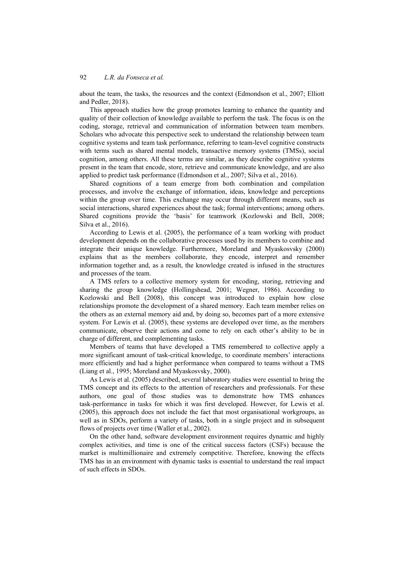about the team, the tasks, the resources and the context (Edmondson et al., 2007; Elliott and Pedler, 2018).

This approach studies how the group promotes learning to enhance the quantity and quality of their collection of knowledge available to perform the task. The focus is on the coding, storage, retrieval and communication of information between team members. Scholars who advocate this perspective seek to understand the relationship between team cognitive systems and team task performance, referring to team-level cognitive constructs with terms such as shared mental models, transactive memory systems (TMSs), social cognition, among others. All these terms are similar, as they describe cognitive systems present in the team that encode, store, retrieve and communicate knowledge, and are also applied to predict task performance (Edmondson et al., 2007; Silva et al., 2016).

Shared cognitions of a team emerge from both combination and compilation processes, and involve the exchange of information, ideas, knowledge and perceptions within the group over time. This exchange may occur through different means, such as social interactions, shared experiences about the task; formal interventions; among others. Shared cognitions provide the 'basis' for teamwork (Kozlowski and Bell, 2008; Silva et al., 2016).

According to Lewis et al. (2005), the performance of a team working with product development depends on the collaborative processes used by its members to combine and integrate their unique knowledge. Furthermore, Moreland and Myaskosvsky (2000) explains that as the members collaborate, they encode, interpret and remember information together and, as a result, the knowledge created is infused in the structures and processes of the team.

A TMS refers to a collective memory system for encoding, storing, retrieving and sharing the group knowledge (Hollingshead, 2001; Wegner, 1986). According to Kozlowski and Bell (2008), this concept was introduced to explain how close relationships promote the development of a shared memory. Each team member relies on the others as an external memory aid and, by doing so, becomes part of a more extensive system. For Lewis et al. (2005), these systems are developed over time, as the members communicate, observe their actions and come to rely on each other's ability to be in charge of different, and complementing tasks.

Members of teams that have developed a TMS remembered to collective apply a more significant amount of task-critical knowledge, to coordinate members' interactions more efficiently and had a higher performance when compared to teams without a TMS (Liang et al., 1995; Moreland and Myaskosvsky, 2000).

As Lewis et al. (2005) described, several laboratory studies were essential to bring the TMS concept and its effects to the attention of researchers and professionals. For these authors, one goal of those studies was to demonstrate how TMS enhances task-performance in tasks for which it was first developed. However, for Lewis et al. (2005), this approach does not include the fact that most organisational workgroups, as well as in SDOs, perform a variety of tasks, both in a single project and in subsequent flows of projects over time (Waller et al., 2002).

On the other hand, software development environment requires dynamic and highly complex activities, and time is one of the critical success factors (CSFs) because the market is multimillionaire and extremely competitive. Therefore, knowing the effects TMS has in an environment with dynamic tasks is essential to understand the real impact of such effects in SDOs.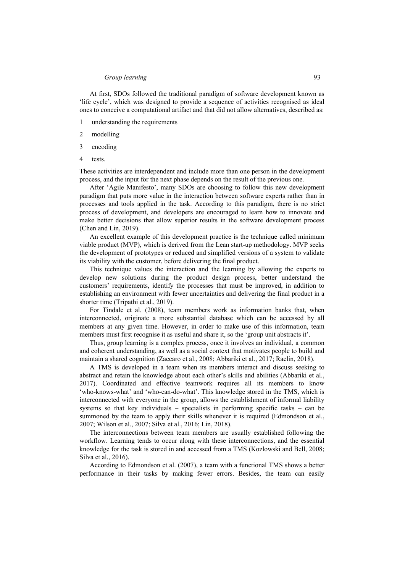#### *Group learning* 93

At first, SDOs followed the traditional paradigm of software development known as 'life cycle', which was designed to provide a sequence of activities recognised as ideal ones to conceive a computational artifact and that did not allow alternatives, described as:

- 1 understanding the requirements
- 2 modelling
- 3 encoding
- 4 tests.

These activities are interdependent and include more than one person in the development process, and the input for the next phase depends on the result of the previous one.

After 'Agile Manifesto', many SDOs are choosing to follow this new development paradigm that puts more value in the interaction between software experts rather than in processes and tools applied in the task. According to this paradigm, there is no strict process of development, and developers are encouraged to learn how to innovate and make better decisions that allow superior results in the software development process (Chen and Lin, 2019).

An excellent example of this development practice is the technique called minimum viable product (MVP), which is derived from the Lean start-up methodology. MVP seeks the development of prototypes or reduced and simplified versions of a system to validate its viability with the customer, before delivering the final product.

This technique values the interaction and the learning by allowing the experts to develop new solutions during the product design process, better understand the customers' requirements, identify the processes that must be improved, in addition to establishing an environment with fewer uncertainties and delivering the final product in a shorter time (Tripathi et al., 2019).

For Tindale et al. (2008), team members work as information banks that, when interconnected, originate a more substantial database which can be accessed by all members at any given time. However, in order to make use of this information, team members must first recognise it as useful and share it, so the 'group unit abstracts it'.

Thus, group learning is a complex process, once it involves an individual, a common and coherent understanding, as well as a social context that motivates people to build and maintain a shared cognition (Zaccaro et al., 2008; Abbariki et al., 2017; Raelin, 2018).

A TMS is developed in a team when its members interact and discuss seeking to abstract and retain the knowledge about each other's skills and abilities (Abbariki et al., 2017). Coordinated and effective teamwork requires all its members to know 'who-knows-what' and 'who-can-do-what'. This knowledge stored in the TMS, which is interconnected with everyone in the group, allows the establishment of informal liability systems so that key individuals – specialists in performing specific tasks – can be summoned by the team to apply their skills whenever it is required (Edmondson et al., 2007; Wilson et al., 2007; Silva et al., 2016; Lin, 2018).

The interconnections between team members are usually established following the workflow. Learning tends to occur along with these interconnections, and the essential knowledge for the task is stored in and accessed from a TMS (Kozlowski and Bell, 2008; Silva et al., 2016).

According to Edmondson et al. (2007), a team with a functional TMS shows a better performance in their tasks by making fewer errors. Besides, the team can easily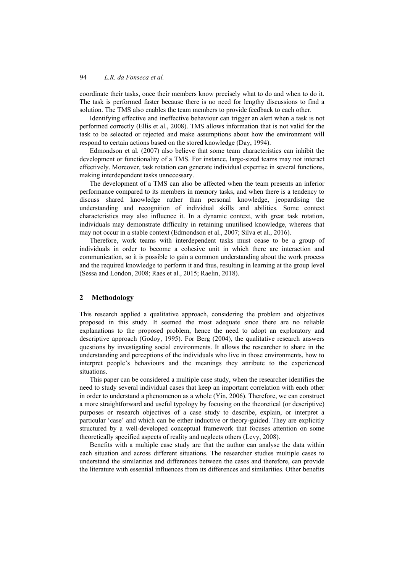coordinate their tasks, once their members know precisely what to do and when to do it. The task is performed faster because there is no need for lengthy discussions to find a solution. The TMS also enables the team members to provide feedback to each other.

Identifying effective and ineffective behaviour can trigger an alert when a task is not performed correctly (Ellis et al., 2008). TMS allows information that is not valid for the task to be selected or rejected and make assumptions about how the environment will respond to certain actions based on the stored knowledge (Day, 1994).

Edmondson et al. (2007) also believe that some team characteristics can inhibit the development or functionality of a TMS. For instance, large-sized teams may not interact effectively. Moreover, task rotation can generate individual expertise in several functions, making interdependent tasks unnecessary.

The development of a TMS can also be affected when the team presents an inferior performance compared to its members in memory tasks, and when there is a tendency to discuss shared knowledge rather than personal knowledge, jeopardising the understanding and recognition of individual skills and abilities. Some context characteristics may also influence it. In a dynamic context, with great task rotation, individuals may demonstrate difficulty in retaining unutilised knowledge, whereas that may not occur in a stable context (Edmondson et al., 2007; Silva et al., 2016).

Therefore, work teams with interdependent tasks must cease to be a group of individuals in order to become a cohesive unit in which there are interaction and communication, so it is possible to gain a common understanding about the work process and the required knowledge to perform it and thus, resulting in learning at the group level (Sessa and London, 2008; Raes et al., 2015; Raelin, 2018).

### **2 Methodology**

This research applied a qualitative approach, considering the problem and objectives proposed in this study. It seemed the most adequate since there are no reliable explanations to the proposed problem, hence the need to adopt an exploratory and descriptive approach (Godoy, 1995). For Berg (2004), the qualitative research answers questions by investigating social environments. It allows the researcher to share in the understanding and perceptions of the individuals who live in those environments, how to interpret people's behaviours and the meanings they attribute to the experienced situations.

This paper can be considered a multiple case study, when the researcher identifies the need to study several individual cases that keep an important correlation with each other in order to understand a phenomenon as a whole (Yin, 2006). Therefore, we can construct a more straightforward and useful typology by focusing on the theoretical (or descriptive) purposes or research objectives of a case study to describe, explain, or interpret a particular 'case' and which can be either inductive or theory-guided. They are explicitly structured by a well-developed conceptual framework that focuses attention on some theoretically specified aspects of reality and neglects others (Levy, 2008).

Benefits with a multiple case study are that the author can analyse the data within each situation and across different situations. The researcher studies multiple cases to understand the similarities and differences between the cases and therefore, can provide the literature with essential influences from its differences and similarities. Other benefits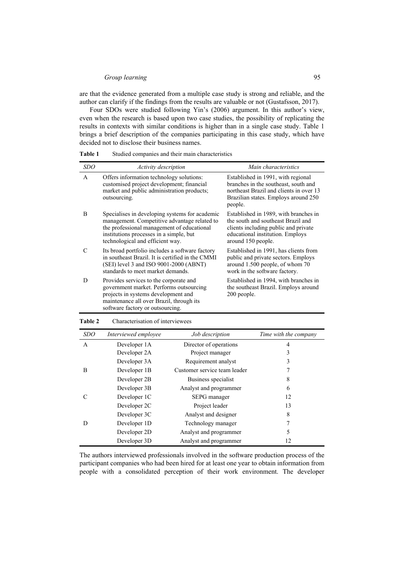#### *Group learning* 95

are that the evidence generated from a multiple case study is strong and reliable, and the author can clarify if the findings from the results are valuable or not (Gustafsson, 2017).

Four SDOs were studied following Yin's (2006) argument. In this author's view, even when the research is based upon two case studies, the possibility of replicating the results in contexts with similar conditions is higher than in a single case study. Table 1 brings a brief description of the companies participating in this case study, which have decided not to disclose their business names.

| <i>SDO</i> | Activity description                                                                                                                                                                                                        | Main characteristics                                                                                                                                                          |
|------------|-----------------------------------------------------------------------------------------------------------------------------------------------------------------------------------------------------------------------------|-------------------------------------------------------------------------------------------------------------------------------------------------------------------------------|
| A          | Offers information technology solutions:<br>customised project development; financial<br>market and public administration products;<br>outsourcing.                                                                         | Established in 1991, with regional<br>branches in the southeast, south and<br>northeast Brazil and clients in over 13<br>Brazilian states. Employs around 250<br>people.      |
| B          | Specialises in developing systems for academic<br>management. Competitive advantage related to<br>the professional management of educational<br>institutions processes in a simple, but<br>technological and efficient way. | Established in 1989, with branches in<br>the south and southeast Brazil and<br>clients including public and private<br>educational institution. Employs<br>around 150 people. |
| C          | Its broad portfolio includes a software factory<br>in southeast Brazil. It is certified in the CMMI<br>$(SEI)$ level 3 and ISO 9001-2000 (ABNT)<br>standards to meet market demands.                                        | Established in 1991, has clients from<br>public and private sectors. Employs<br>around 1.500 people, of whom 70<br>work in the software factory.                              |
| D          | Provides services to the corporate and<br>government market. Performs outsourcing<br>projects in systems development and<br>maintenance all over Brazil, through its<br>software factory or outsourcing.                    | Established in 1994, with branches in<br>the southeast Brazil. Employs around<br>200 people.                                                                                  |

**Table 1** Studied companies and their main characteristics

| <b>SDO</b>   | Interviewed employee | Job description              | Time with the company |
|--------------|----------------------|------------------------------|-----------------------|
| $\mathsf{A}$ | Developer 1A         | Director of operations       | 4                     |
|              | Developer 2A         | Project manager              | 3                     |
|              | Developer 3A         | Requirement analyst          | 3                     |
| B            | Developer 1B         | Customer service team leader |                       |
|              | Developer 2B         | Business specialist          | 8                     |
|              | Developer 3B         | Analyst and programmer       | 6                     |
|              | Developer 1C         | SEPG manager                 | 12                    |
|              | Developer 2C         | Project leader               | 13                    |
|              | Developer 3C         | Analyst and designer         | 8                     |
|              | Developer 1D         | Technology manager           | 7                     |
|              | Developer 2D         | Analyst and programmer       | 5                     |
|              | Developer 3D         | Analyst and programmer       | 12                    |

#### **Table 2** Characterisation of interviewees

The authors interviewed professionals involved in the software production process of the participant companies who had been hired for at least one year to obtain information from people with a consolidated perception of their work environment. The developer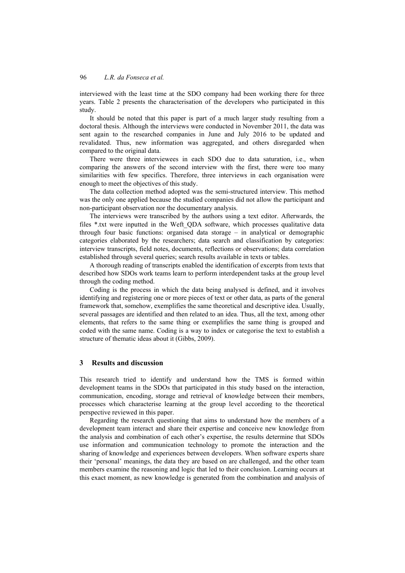interviewed with the least time at the SDO company had been working there for three years. Table 2 presents the characterisation of the developers who participated in this study.

It should be noted that this paper is part of a much larger study resulting from a doctoral thesis. Although the interviews were conducted in November 2011, the data was sent again to the researched companies in June and July 2016 to be updated and revalidated. Thus, new information was aggregated, and others disregarded when compared to the original data.

There were three interviewees in each SDO due to data saturation, i.e., when comparing the answers of the second interview with the first, there were too many similarities with few specifics. Therefore, three interviews in each organisation were enough to meet the objectives of this study.

The data collection method adopted was the semi-structured interview. This method was the only one applied because the studied companies did not allow the participant and non-participant observation nor the documentary analysis.

The interviews were transcribed by the authors using a text editor. Afterwards, the files \*.txt were inputted in the Weft\_QDA software, which processes qualitative data through four basic functions: organised data storage – in analytical or demographic categories elaborated by the researchers; data search and classification by categories: interview transcripts, field notes, documents, reflections or observations; data correlation established through several queries; search results available in texts or tables.

A thorough reading of transcripts enabled the identification of excerpts from texts that described how SDOs work teams learn to perform interdependent tasks at the group level through the coding method.

Coding is the process in which the data being analysed is defined, and it involves identifying and registering one or more pieces of text or other data, as parts of the general framework that, somehow, exemplifies the same theoretical and descriptive idea. Usually, several passages are identified and then related to an idea. Thus, all the text, among other elements, that refers to the same thing or exemplifies the same thing is grouped and coded with the same name. Coding is a way to index or categorise the text to establish a structure of thematic ideas about it (Gibbs, 2009).

### **3 Results and discussion**

This research tried to identify and understand how the TMS is formed within development teams in the SDOs that participated in this study based on the interaction, communication, encoding, storage and retrieval of knowledge between their members, processes which characterise learning at the group level according to the theoretical perspective reviewed in this paper.

Regarding the research questioning that aims to understand how the members of a development team interact and share their expertise and conceive new knowledge from the analysis and combination of each other's expertise, the results determine that SDOs use information and communication technology to promote the interaction and the sharing of knowledge and experiences between developers. When software experts share their 'personal' meanings, the data they are based on are challenged, and the other team members examine the reasoning and logic that led to their conclusion. Learning occurs at this exact moment, as new knowledge is generated from the combination and analysis of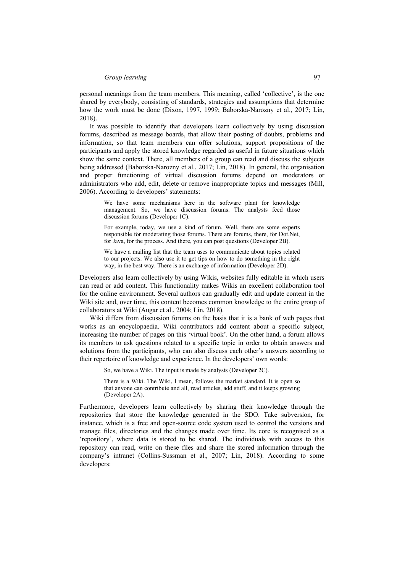personal meanings from the team members. This meaning, called 'collective', is the one shared by everybody, consisting of standards, strategies and assumptions that determine how the work must be done (Dixon, 1997, 1999; Baborska-Narozny et al., 2017; Lin, 2018).

It was possible to identify that developers learn collectively by using discussion forums, described as message boards, that allow their posting of doubts, problems and information, so that team members can offer solutions, support propositions of the participants and apply the stored knowledge regarded as useful in future situations which show the same context. There, all members of a group can read and discuss the subjects being addressed (Baborska-Narozny et al., 2017; Lin, 2018). In general, the organisation and proper functioning of virtual discussion forums depend on moderators or administrators who add, edit, delete or remove inappropriate topics and messages (Mill, 2006). According to developers' statements:

> We have some mechanisms here in the software plant for knowledge management. So, we have discussion forums. The analysts feed those discussion forums (Developer 1C).

> For example, today, we use a kind of forum. Well, there are some experts responsible for moderating those forums. There are forums, there, for Dot.Net, for Java, for the process. And there, you can post questions (Developer 2B).

> We have a mailing list that the team uses to communicate about topics related to our projects. We also use it to get tips on how to do something in the right way, in the best way. There is an exchange of information (Developer 2D).

Developers also learn collectively by using Wikis, websites fully editable in which users can read or add content. This functionality makes Wikis an excellent collaboration tool for the online environment. Several authors can gradually edit and update content in the Wiki site and, over time, this content becomes common knowledge to the entire group of collaborators at Wiki (Augar et al., 2004; Lin, 2018).

Wiki differs from discussion forums on the basis that it is a bank of web pages that works as an encyclopaedia. Wiki contributors add content about a specific subject, increasing the number of pages on this 'virtual book'. On the other hand, a forum allows its members to ask questions related to a specific topic in order to obtain answers and solutions from the participants, who can also discuss each other's answers according to their repertoire of knowledge and experience. In the developers' own words:

So, we have a Wiki. The input is made by analysts (Developer 2C).

There is a Wiki. The Wiki, I mean, follows the market standard. It is open so that anyone can contribute and all, read articles, add stuff, and it keeps growing (Developer 2A).

Furthermore, developers learn collectively by sharing their knowledge through the repositories that store the knowledge generated in the SDO. Take subversion, for instance, which is a free and open-source code system used to control the versions and manage files, directories and the changes made over time. Its core is recognised as a 'repository', where data is stored to be shared. The individuals with access to this repository can read, write on these files and share the stored information through the company's intranet (Collins-Sussman et al., 2007; Lin, 2018). According to some developers: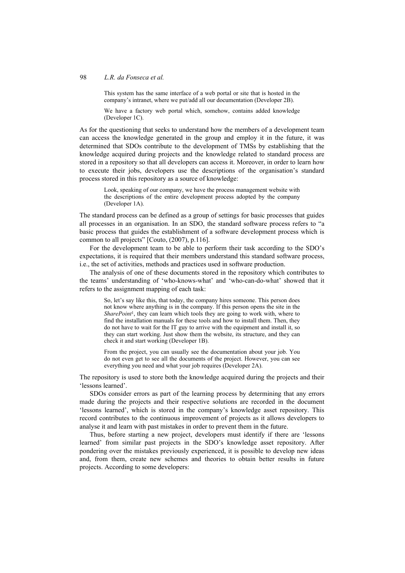#### 98 *L.R. da Fonseca et al.*

This system has the same interface of a web portal or site that is hosted in the company's intranet, where we put/add all our documentation (Developer 2B).

We have a factory web portal which, somehow, contains added knowledge (Developer 1C).

As for the questioning that seeks to understand how the members of a development team can access the knowledge generated in the group and employ it in the future, it was determined that SDOs contribute to the development of TMSs by establishing that the knowledge acquired during projects and the knowledge related to standard process are stored in a repository so that all developers can access it. Moreover, in order to learn how to execute their jobs, developers use the descriptions of the organisation's standard process stored in this repository as a source of knowledge:

> Look, speaking of our company, we have the process management website with the descriptions of the entire development process adopted by the company (Developer 1A).

The standard process can be defined as a group of settings for basic processes that guides all processes in an organisation. In an SDO, the standard software process refers to "a basic process that guides the establishment of a software development process which is common to all projects" [Couto, (2007), p.116].

For the development team to be able to perform their task according to the SDO's expectations, it is required that their members understand this standard software process, i.e., the set of activities, methods and practices used in software production.

The analysis of one of these documents stored in the repository which contributes to the teams' understanding of 'who-knows-what' and 'who-can-do-what' showed that it refers to the assignment mapping of each task:

So, let's say like this, that today, the company hires someone. This person does not know where anything is in the company. If this person opens the site in the *SharePoint*1, they can learn which tools they are going to work with, where to find the installation manuals for these tools and how to install them. Then, they do not have to wait for the IT guy to arrive with the equipment and install it, so they can start working. Just show them the website, its structure, and they can check it and start working (Developer 1B).

From the project, you can usually see the documentation about your job. You do not even get to see all the documents of the project. However, you can see everything you need and what your job requires (Developer 2A).

The repository is used to store both the knowledge acquired during the projects and their 'lessons learned'.

SDOs consider errors as part of the learning process by determining that any errors made during the projects and their respective solutions are recorded in the document 'lessons learned', which is stored in the company's knowledge asset repository. This record contributes to the continuous improvement of projects as it allows developers to analyse it and learn with past mistakes in order to prevent them in the future.

Thus, before starting a new project, developers must identify if there are 'lessons learned' from similar past projects in the SDO's knowledge asset repository. After pondering over the mistakes previously experienced, it is possible to develop new ideas and, from them, create new schemes and theories to obtain better results in future projects. According to some developers: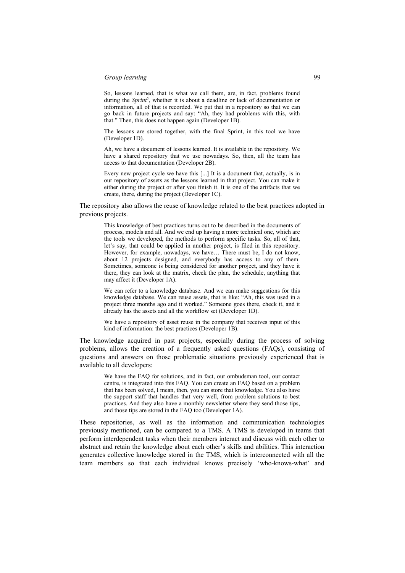## *Group learning* 99

So, lessons learned, that is what we call them, are, in fact, problems found during the *Sprint*2, whether it is about a deadline or lack of documentation or information, all of that is recorded. We put that in a repository so that we can go back in future projects and say: "Ah, they had problems with this, with that." Then, this does not happen again (Developer 1B).

The lessons are stored together, with the final Sprint, in this tool we have (Developer 1D).

Ah, we have a document of lessons learned. It is available in the repository. We have a shared repository that we use nowadays. So, then, all the team has access to that documentation (Developer 2B).

Every new project cycle we have this [...] It is a document that, actually, is in our repository of assets as the lessons learned in that project. You can make it either during the project or after you finish it. It is one of the artifacts that we create, there, during the project (Developer 1C).

The repository also allows the reuse of knowledge related to the best practices adopted in previous projects.

This knowledge of best practices turns out to be described in the documents of process, models and all. And we end up having a more technical one, which are the tools we developed, the methods to perform specific tasks. So, all of that, let's say, that could be applied in another project, is filed in this repository. However, for example, nowadays, we have… There must be, I do not know, about 12 projects designed, and everybody has access to any of them. Sometimes, someone is being considered for another project, and they have it there, they can look at the matrix, check the plan, the schedule, anything that may affect it (Developer 1A).

We can refer to a knowledge database. And we can make suggestions for this knowledge database. We can reuse assets, that is like: "Ah, this was used in a project three months ago and it worked." Someone goes there, check it, and it already has the assets and all the workflow set (Developer 1D).

We have a repository of asset reuse in the company that receives input of this kind of information: the best practices (Developer 1B).

The knowledge acquired in past projects, especially during the process of solving problems, allows the creation of a frequently asked questions (FAQs), consisting of questions and answers on those problematic situations previously experienced that is available to all developers:

We have the FAQ for solutions, and in fact, our ombudsman tool, our contact centre, is integrated into this FAQ. You can create an FAQ based on a problem that has been solved, I mean, then, you can store that knowledge. You also have the support staff that handles that very well, from problem solutions to best practices. And they also have a monthly newsletter where they send those tips, and those tips are stored in the FAQ too (Developer 1A).

These repositories, as well as the information and communication technologies previously mentioned, can be compared to a TMS. A TMS is developed in teams that perform interdependent tasks when their members interact and discuss with each other to abstract and retain the knowledge about each other's skills and abilities. This interaction generates collective knowledge stored in the TMS, which is interconnected with all the team members so that each individual knows precisely 'who-knows-what' and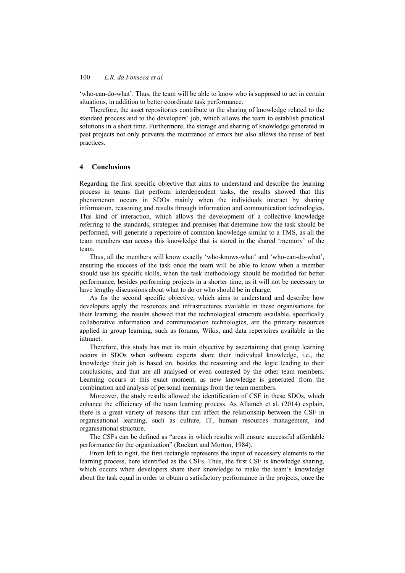'who-can-do-what'. Thus, the team will be able to know who is supposed to act in certain situations, in addition to better coordinate task performance.

Therefore, the asset repositories contribute to the sharing of knowledge related to the standard process and to the developers' job, which allows the team to establish practical solutions in a short time. Furthermore, the storage and sharing of knowledge generated in past projects not only prevents the recurrence of errors but also allows the reuse of best practices.

## **4 Conclusions**

Regarding the first specific objective that aims to understand and describe the learning process in teams that perform interdependent tasks, the results showed that this phenomenon occurs in SDOs mainly when the individuals interact by sharing information, reasoning and results through information and communication technologies. This kind of interaction, which allows the development of a collective knowledge referring to the standards, strategies and premises that determine how the task should be performed, will generate a repertoire of common knowledge similar to a TMS, as all the team members can access this knowledge that is stored in the shared 'memory' of the team.

Thus, all the members will know exactly 'who-knows-what' and 'who-can-do-what', ensuring the success of the task once the team will be able to know when a member should use his specific skills, when the task methodology should be modified for better performance, besides performing projects in a shorter time, as it will not be necessary to have lengthy discussions about what to do or who should be in charge.

As for the second specific objective, which aims to understand and describe how developers apply the resources and infrastructures available in these organisations for their learning, the results showed that the technological structure available, specifically collaborative information and communication technologies, are the primary resources applied in group learning, such as forums, Wikis, and data repertoires available in the intranet.

Therefore, this study has met its main objective by ascertaining that group learning occurs in SDOs when software experts share their individual knowledge, i.e., the knowledge their job is based on, besides the reasoning and the logic leading to their conclusions, and that are all analysed or even contested by the other team members. Learning occurs at this exact moment, as new knowledge is generated from the combination and analysis of personal meanings from the team members.

Moreover, the study results allowed the identification of CSF in these SDOs, which enhance the efficiency of the team learning process. As Allameh et al. (2014) explain, there is a great variety of reasons that can affect the relationship between the CSF in organisational learning, such as culture, IT, human resources management, and organisational structure.

The CSFs can be defined as "areas in which results will ensure successful affordable performance for the organization" (Rockart and Morton, 1984).

From left to right, the first rectangle represents the input of necessary elements to the learning process, here identified as the CSFs. Thus, the first CSF is knowledge sharing, which occurs when developers share their knowledge to make the team's knowledge about the task equal in order to obtain a satisfactory performance in the projects, once the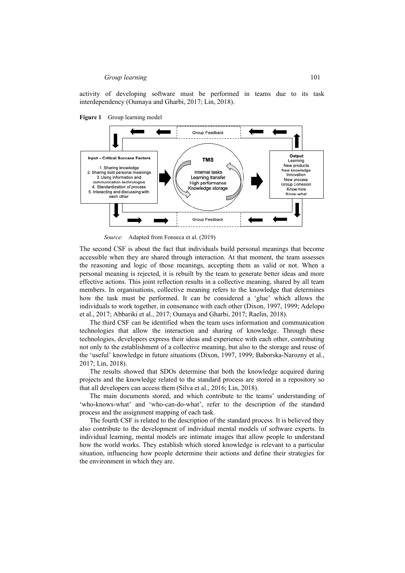activity of developing software must be performed in teams due to its task interdependency (Oumaya and Gharbi, 2017; Lin, 2018).





*Source:* Adapted from Fonseca et al. (2019)

The second CSF is about the fact that individuals build personal meanings that become accessible when they are shared through interaction. At that moment, the team assesses the reasoning and logic of those meanings, accepting them as valid or not. When a personal meaning is rejected, it is rebuilt by the team to generate better ideas and more effective actions. This joint reflection results in a collective meaning, shared by all team members. In organisations, collective meaning refers to the knowledge that determines how the task must be performed. It can be considered a 'glue' which allows the individuals to work together, in consonance with each other (Dixon, 1997, 1999; Adelopo et al., 2017; Abbariki et al., 2017; Oumaya and Gharbi, 2017; Raelin, 2018).

The third CSF can be identified when the team uses information and communication technologies that allow the interaction and sharing of knowledge. Through these technologies, developers express their ideas and experience with each other, contributing not only to the establishment of a collective meaning, but also to the storage and reuse of the 'useful' knowledge in future situations (Dixon, 1997, 1999; Baborska-Narozny et al., 2017; Lin, 2018).

The results showed that SDOs determine that both the knowledge acquired during projects and the knowledge related to the standard process are stored in a repository so that all developers can access them (Silva et al., 2016; Lin, 2018).

The main documents stored, and which contribute to the teams' understanding of 'who-knows-what' and 'who-can-do-what', refer to the description of the standard process and the assignment mapping of each task.

The fourth CSF is related to the description of the standard process. It is believed they also contribute to the development of individual mental models of software experts. In individual learning, mental models are intimate images that allow people to understand how the world works. They establish which stored knowledge is relevant to a particular situation, influencing how people determine their actions and define their strategies for the environment in which they are.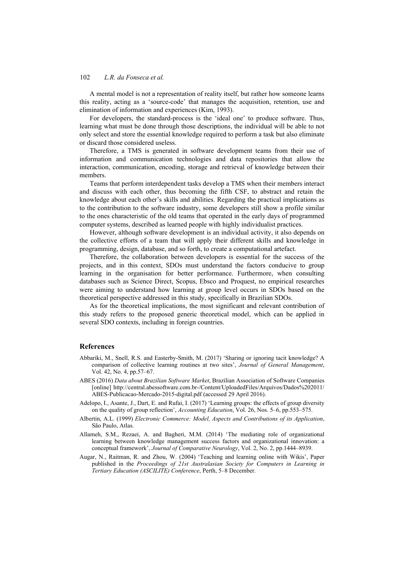A mental model is not a representation of reality itself, but rather how someone learns this reality, acting as a 'source-code' that manages the acquisition, retention, use and elimination of information and experiences (Kim, 1993).

For developers, the standard-process is the 'ideal one' to produce software. Thus, learning what must be done through those descriptions, the individual will be able to not only select and store the essential knowledge required to perform a task but also eliminate or discard those considered useless.

Therefore, a TMS is generated in software development teams from their use of information and communication technologies and data repositories that allow the interaction, communication, encoding, storage and retrieval of knowledge between their members.

Teams that perform interdependent tasks develop a TMS when their members interact and discuss with each other, thus becoming the fifth CSF, to abstract and retain the knowledge about each other's skills and abilities. Regarding the practical implications as to the contribution to the software industry, some developers still show a profile similar to the ones characteristic of the old teams that operated in the early days of programmed computer systems, described as learned people with highly individualist practices.

However, although software development is an individual activity, it also depends on the collective efforts of a team that will apply their different skills and knowledge in programming, design, database, and so forth, to create a computational artefact.

Therefore, the collaboration between developers is essential for the success of the projects, and in this context, SDOs must understand the factors conducive to group learning in the organisation for better performance. Furthermore, when consulting databases such as Science Direct, Scopus, Ebsco and Proquest, no empirical researches were aiming to understand how learning at group level occurs in SDOs based on the theoretical perspective addressed in this study, specifically in Brazilian SDOs.

As for the theoretical implications, the most significant and relevant contribution of this study refers to the proposed generic theoretical model, which can be applied in several SDO contexts, including in foreign countries.

### **References**

- Abbariki, M., Snell, R.S. and Easterby-Smith, M. (2017) 'Sharing or ignoring tacit knowledge? A comparison of collective learning routines at two sites', *Journal of General Management*, Vol. 42, No. 4, pp.57–67.
- ABES (2016) *Data about Brazilian Software Market*, Brazilian Association of Software Companies [online] http://central.abessoftware.com.br-/Content/UploadedFiles/Arquivos/Dados%202011/ ABES-Publicacao-Mercado-2015-digital.pdf (accessed 29 April 2016).
- Adelopo, I., Asante, J., Dart, E. and Rufai, I. (2017) 'Learning groups: the effects of group diversity on the quality of group reflection', *Accounting Education*, Vol. 26, Nos. 5–6, pp.553–575.
- Albertin, A.L. (1999) *Electronic Commerce: Model, Aspects and Contributions of its Application*, São Paulo, Atlas.
- Allameh, S.M., Rezaei, A. and Bagheri, M.M. (2014) 'The mediating role of organizational learning between knowledge management success factors and organizational innovation: a conceptual framework', *Journal of Comparative Neurology*, Vol. 2, No. 2, pp.1444–8939.
- Augar, N., Raitman, R. and Zhou, W. (2004) 'Teaching and learning online with Wikis', Paper published in the *Proceedings of 21st Australasian Society for Computers in Learning in Tertiary Education (ASCILITE) Conference*, Perth, 5–8 December.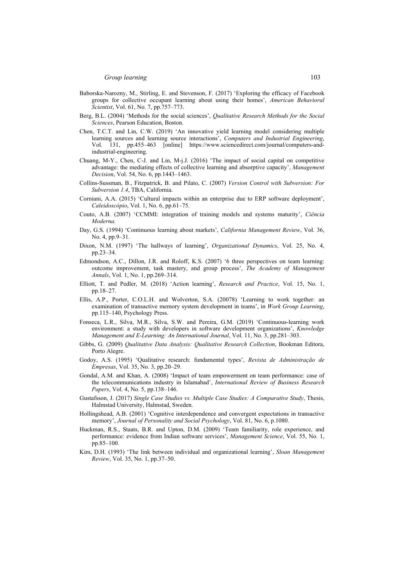- Baborska-Narozny, M., Stirling, E. and Stevenson, F. (2017) 'Exploring the efficacy of Facebook groups for collective occupant learning about using their homes', *American Behavioral Scientist*, Vol. 61, No. 7, pp.757–773.
- Berg, B.L. (2004) 'Methods for the social sciences', *Qualitative Research Methods for the Social Sciences*, Pearson Education, Boston.
- Chen, T.C.T. and Lin, C.W. (2019) 'An innovative yield learning model considering multiple learning sources and learning source interactions', *Computers and Industrial Engineering*, Vol. 131, pp.455–463 [online] https://www.sciencedirect.com/journal/computers-andindustrial-engineering.
- Chuang, M-Y., Chen, C-J. and Lin, M-j.J. (2016) 'The impact of social capital on competitive advantage: the mediating effects of collective learning and absorptive capacity', *Management Decision*, Vol. 54, No. 6, pp.1443–1463.
- Collins-Sussman, B., Fitzpatrick, B. and Pilato, C. (2007) *Version Control with Subversion: For Subversion 1.4*, TBA, California.
- Corniani, A.A. (2015) 'Cultural impacts within an enterprise due to ERP software deployment', *Caleidoscópio*, Vol. 1, No. 6, pp.61–75.
- Couto, A.B. (2007) 'CCMMI: integration of training models and systems maturity', *Ciência Moderna*.
- Day, G.S. (1994) 'Continuous learning about markets', *California Management Review*, Vol. 36, No. 4, pp.9–31.
- Dixon, N.M. (1997) 'The hallways of learning', *Organizational Dynamics*, Vol. 25, No. 4, pp.23–34.
- Edmondson, A.C., Dillon, J.R. and Roloff, K.S. (2007) '6 three perspectives on team learning: outcome improvement, task mastery, and group process', *The Academy of Management Annals*, Vol. 1, No. 1, pp.269–314.
- Elliott, T. and Pedler, M. (2018) 'Action learning', *Research and Practice*, Vol. 15, No. 1, pp.18–27.
- Ellis, A.P., Porter, C.O.L.H. and Wolverton, S.A. (20078) 'Learning to work together: an examination of transactive memory system development in teams', in *Work Group Learning*, pp.115–140, Psychology Press.
- Fonseca, L.R., Silva, M.R., Silva, S.W. and Pereira, G.M. (2019) 'Continuous-learning work environment: a study with developers in software development organizations', *Knowledge Management and E-Learning: An International Journal*, Vol. 11, No. 3, pp.281–303.
- Gibbs, G. (2009) *Qualitative Data Analysis: Qualitative Research Collection*, Bookman Editora, Porto Alegre.
- Godoy, A.S. (1995) 'Qualitative research: fundamental types', *Revista de Administração de Empresas*, Vol. 35, No. 3, pp.20–29.
- Gondal, A.M. and Khan, A. (2008) 'Impact of team empowerment on team performance: case of the telecommunications industry in Islamabad', *International Review of Business Research Papers*, Vol. 4, No. 5, pp.138–146.
- Gustafsson, J. (2017) *Single Case Studies vs. Multiple Case Studies: A Comparative Study*, Thesis, Halmstad University, Halmstad, Sweden.
- Hollingshead, A.B. (2001) 'Cognitive interdependence and convergent expectations in transactive memory', *Journal of Personality and Social Psychology*, Vol. 81, No. 6, p.1080.
- Huckman, R.S., Staats, B.R. and Upton, D.M. (2009) 'Team familiarity, role experience, and performance: evidence from Indian software services', *Management Science*, Vol. 55, No. 1, pp.85–100.
- Kim, D.H. (1993) 'The link between individual and organizational learning', *Sloan Management Review*, Vol. 35, No. 1, pp.37–50.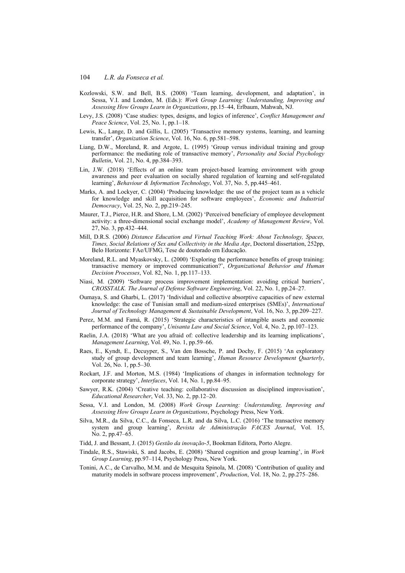- Kozlowski, S.W. and Bell, B.S. (2008) 'Team learning, development, and adaptation', in Sessa, V.I. and London, M. (Eds.): *Work Group Learning: Understanding, Improving and Assessing How Groups Learn in Organizations*, pp.15–44, Erlbaum, Mahwah, NJ.
- Levy, J.S. (2008) 'Case studies: types, designs, and logics of inference', *Conflict Management and Peace Science*, Vol. 25, No. 1, pp.1–18.
- Lewis, K., Lange, D. and Gillis, L. (2005) 'Transactive memory systems, learning, and learning transfer', *Organization Science*, Vol. 16, No. 6, pp.581–598.
- Liang, D.W., Moreland, R. and Argote, L. (1995) 'Group versus individual training and group performance: the mediating role of transactive memory', *Personality and Social Psychology Bulletin*, Vol. 21, No. 4, pp.384–393.
- Lin, J.W. (2018) 'Effects of an online team project-based learning environment with group awareness and peer evaluation on socially shared regulation of learning and self-regulated learning', *Behaviour & Information Technology*, Vol. 37, No. 5, pp.445–461.
- Marks, A. and Lockyer, C. (2004) 'Producing knowledge: the use of the project team as a vehicle for knowledge and skill acquisition for software employees', *Economic and Industrial Democracy*, Vol. 25, No. 2, pp.219–245.
- Maurer, T.J., Pierce, H.R. and Shore, L.M. (2002) 'Perceived beneficiary of employee development activity: a three-dimensional social exchange model', *Academy of Management Review*, Vol. 27, No. 3, pp.432–444.
- Mill, D.R.S. (2006) *Distance Education and Virtual Teaching Work: About Technology, Spaces, Times, Social Relations of Sex and Collectivity in the Media Age*, Doctoral dissertation, 252pp, Belo Horizonte: FAe/UFMG, Tese de doutorado em Educação.
- Moreland, R.L. and Myaskovsky, L. (2000) 'Exploring the performance benefits of group training: transactive memory or improved communication?', *Organizational Behavior and Human Decision Processes*, Vol. 82, No. 1, pp.117–133.
- Niasi, M. (2009) 'Software process improvement implementation: avoiding critical barriers', *CROSSTALK. The Journal of Defense Software Engineering*, Vol. 22, No. 1, pp.24–27.
- Oumaya, S. and Gharbi, L. (2017) 'Individual and collective absorptive capacities of new external knowledge: the case of Tunisian small and medium-sized enterprises (SMEs)', *International Journal of Technology Management & Sustainable Development*, Vol. 16, No. 3, pp.209–227.
- Perez, M.M. and Famá, R. (2015) 'Strategic characteristics of intangible assets and economic performance of the company', *Unisanta Law and Social Science*, Vol. 4, No. 2, pp.107–123.
- Raelin, J.A. (2018) 'What are you afraid of: collective leadership and its learning implications', *Management Learning*, Vol. 49, No. 1, pp.59–66.
- Raes, E., Kyndt, E., Decuyper, S., Van den Bossche, P. and Dochy, F. (2015) 'An exploratory study of group development and team learning', *Human Resource Development Quarterly*, Vol. 26, No. 1, pp.5–30.
- Rockart, J.F. and Morton, M.S. (1984) 'Implications of changes in information technology for corporate strategy', *Interfaces*, Vol. 14, No. 1, pp.84–95.
- Sawyer, R.K. (2004) 'Creative teaching: collaborative discussion as disciplined improvisation', *Educational Researcher*, Vol. 33, No. 2, pp.12–20.
- Sessa, V.I. and London, M. (2008) *Work Group Learning: Understanding, Improving and Assessing How Groups Learn in Organizations*, Psychology Press, New York.
- Silva, M.R., da Silva, C.C., da Fonseca, L.R. and da Silva, L.C. (2016) 'The transactive memory system and group learning', *Revista de Administração FACES Journal*, Vol. 15, No. 2, pp.47–65.
- Tidd, J. and Bessant, J. (2015) *Gestão da inovação-5*, Bookman Editora, Porto Alegre.
- Tindale, R.S., Stawiski, S. and Jacobs, E. (2008) 'Shared cognition and group learning', in *Work Group Learning*, pp.97–114, Psychology Press, New York.
- Tonini, A.C., de Carvalho, M.M. and de Mesquita Spinola, M. (2008) 'Contribution of quality and maturity models in software process improvement', *Production*, Vol. 18, No. 2, pp.275–286.